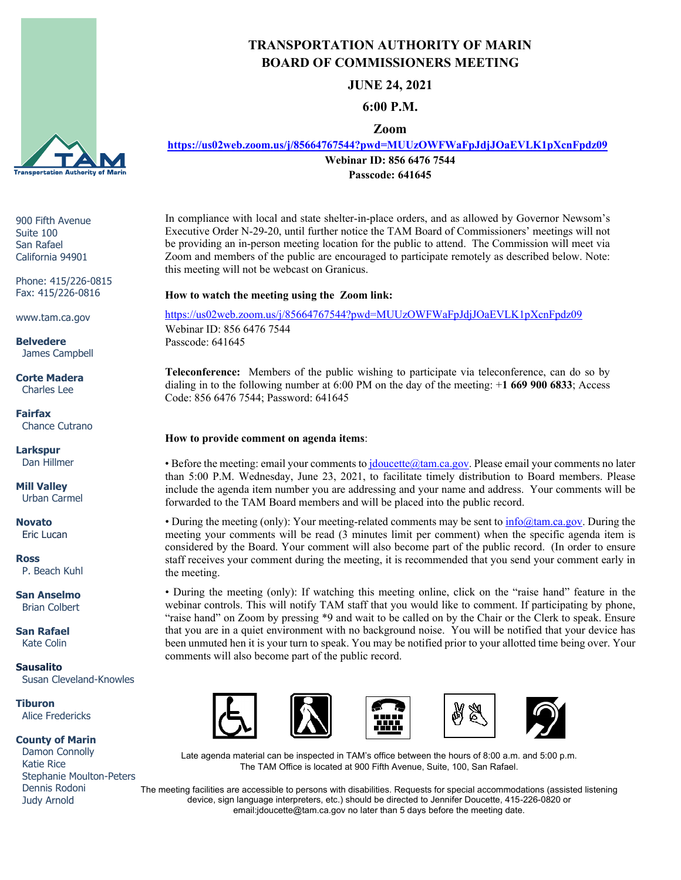

900 Fifth Avenue Suite 100 San Rafael California 94901

Phone: 415/226-0815 Fax: 415/226-0816

www.tam.ca.gov

**Belvedere** James Campbell

#### **Corte Madera** Charles Lee

**Fairfax** Chance Cutrano

**Larkspur** Dan Hillmer

**Mill Valley** Urban Carmel

**Novato** Eric Lucan

**Ross** P. Beach Kuhl

**San Anselmo** Brian Colbert

**San Rafael** Kate Colin

**Sausalito** Susan Cleveland-Knowles

**Tiburon** Alice Fredericks

#### **County of Marin**

 Damon Connolly Katie Rice Stephanie Moulton-Peters Dennis Rodoni Judy Arnold

# **TRANSPORTATION AUTHORITY OF MARIN BOARD OF COMMISSIONERS MEETING**

**JUNE 24, 2021**

## **6:00 P.M.**

## **Zoom**

**<https://us02web.zoom.us/j/85664767544?pwd=MUUzOWFWaFpJdjJOaEVLK1pXcnFpdz09>**

**Webinar ID: 856 6476 7544**

**Passcode: 641645**

In compliance with local and state shelter-in-place orders, and as allowed by Governor Newsom's Executive Order N-29-20, until further notice the TAM Board of Commissioners' meetings will not be providing an in-person meeting location for the public to attend. The Commission will meet via Zoom and members of the public are encouraged to participate remotely as described below. Note: this meeting will not be webcast on Granicus.

### **How to watch the meeting using the Zoom link:**

<https://us02web.zoom.us/j/85664767544?pwd=MUUzOWFWaFpJdjJOaEVLK1pXcnFpdz09> Webinar ID: 856 6476 7544 Passcode: 641645

**Teleconference:** Members of the public wishing to participate via teleconference, can do so by dialing in to the following number at 6:00 PM on the day of the meeting: +**1 669 900 6833**; Access Code: 856 6476 7544; Password: 641645

#### **How to provide comment on agenda items**:

• Before the meeting: email your comments to *jdoucette@tam.ca.gov*. Please email your comments no later than 5:00 P.M. Wednesday, June 23, 2021, to facilitate timely distribution to Board members. Please include the agenda item number you are addressing and your name and address. Your comments will be forwarded to the TAM Board members and will be placed into the public record.

• During the meeting (only): Your meeting-related comments may be sent to  $\infty$  mfo $\omega$ tam.ca.gov. During the meeting your comments will be read (3 minutes limit per comment) when the specific agenda item is considered by the Board. Your comment will also become part of the public record. (In order to ensure staff receives your comment during the meeting, it is recommended that you send your comment early in the meeting.

• During the meeting (only): If watching this meeting online, click on the "raise hand" feature in the webinar controls. This will notify TAM staff that you would like to comment. If participating by phone, "raise hand" on Zoom by pressing \*9 and wait to be called on by the Chair or the Clerk to speak. Ensure that you are in a quiet environment with no background noise. You will be notified that your device has been unmuted hen it is your turn to speak. You may be notified prior to your allotted time being over. Your comments will also become part of the public record.



Late agenda material can be inspected in TAM's office between the hours of 8:00 a.m. and 5:00 p.m. The TAM Office is located at 900 Fifth Avenue, Suite, 100, San Rafael.

The meeting facilities are accessible to persons with disabilities. Requests for special accommodations (assisted listening device, sign language interpreters, etc.) should be directed to Jennifer Doucette, 415-226-0820 or email:jdoucette@tam.ca.gov no later than 5 days before the meeting date.